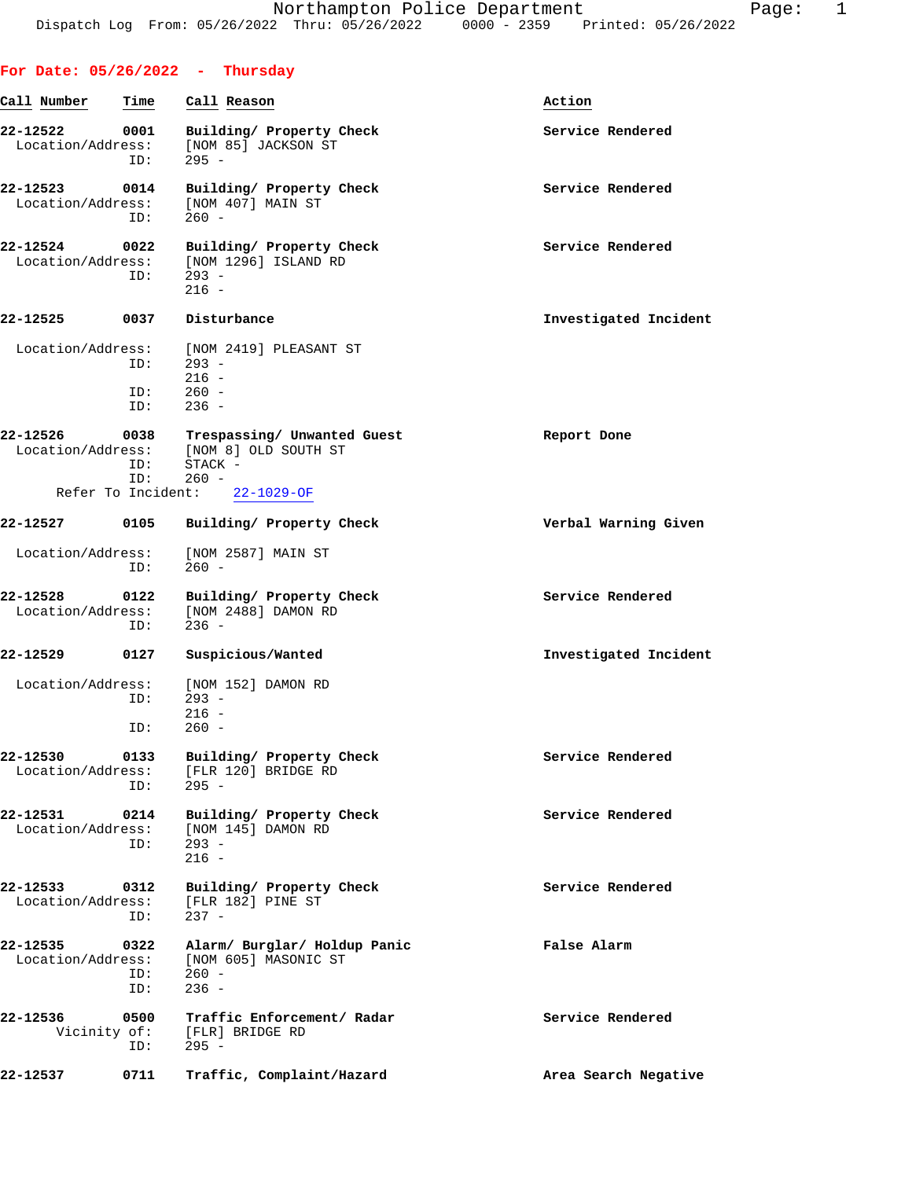|                               |                    | For Date: $05/26/2022 - Thursday$                                                                |                       |
|-------------------------------|--------------------|--------------------------------------------------------------------------------------------------|-----------------------|
| Call Number                   | Time               | Call Reason                                                                                      | Action                |
| 22-12522<br>Location/Address: | 0001<br>ID:        | Building/ Property Check<br>[NOM 85] JACKSON ST<br>$295 -$                                       | Service Rendered      |
| 22-12523<br>Location/Address: | 0014<br>ID:        | Building/ Property Check<br>[NOM 407] MAIN ST<br>$260 -$                                         | Service Rendered      |
| 22-12524<br>Location/Address: | 0022<br>ID:        | Building/ Property Check<br>[NOM 1296] ISLAND RD<br>$293 -$<br>$216 -$                           | Service Rendered      |
| 22-12525 0037 Disturbance     |                    |                                                                                                  | Investigated Incident |
| Location/Address:             | ID:<br>ID:<br>ID:  | [NOM 2419] PLEASANT ST<br>$293 -$<br>$216 -$<br>$260 -$<br>$236 -$                               |                       |
| 22-12526                      | ID:<br>ID:         | 0038 Trespassing/ Unwanted Guest<br>Location/Address: [NOM 8] OLD SOUTH ST<br>STACK -<br>$260 -$ | Report Done           |
|                               |                    | Refer To Incident: 22-1029-OF                                                                    |                       |
| 22-12527                      | 0105               | Building/ Property Check                                                                         | Verbal Warning Given  |
| Location/Address:             | ID:                | [NOM 2587] MAIN ST<br>$260 -$                                                                    |                       |
| 22-12528<br>Location/Address: | 0122<br>ID:        | Building/ Property Check<br>[NOM 2488] DAMON RD<br>$236 -$                                       | Service Rendered      |
| 22-12529 0127                 |                    | Suspicious/Wanted                                                                                | Investigated Incident |
|                               | ID:<br>ID:         | Location/Address: [NOM 152] DAMON RD<br>$293 -$<br>$216 -$<br>$260 -$                            |                       |
| 22-12530<br>Location/Address: | 0133<br>ID:        | Building/ Property Check<br>[FLR 120] BRIDGE RD<br>$295 -$                                       | Service Rendered      |
| 22-12531<br>Location/Address: | 0214<br>ID:        | Building/ Property Check<br>[NOM 145] DAMON RD<br>$293 -$<br>$216 -$                             | Service Rendered      |
| 22-12533<br>Location/Address: | 0312<br>ID:        | Building/ Property Check<br>[FLR 182] PINE ST<br>$237 -$                                         | Service Rendered      |
| 22-12535<br>Location/Address: | 0322<br>ID:<br>ID: | Alarm/ Burglar/ Holdup Panic<br>[NOM 605] MASONIC ST<br>$260 -$<br>$236 -$                       | False Alarm           |
| 22-12536<br>Vicinity of:      | 0500<br>ID:        | Traffic Enforcement/ Radar<br>[FLR] BRIDGE RD<br>$295 -$                                         | Service Rendered      |
| 22-12537                      | 0711               | Traffic, Complaint/Hazard                                                                        | Area Search Negative  |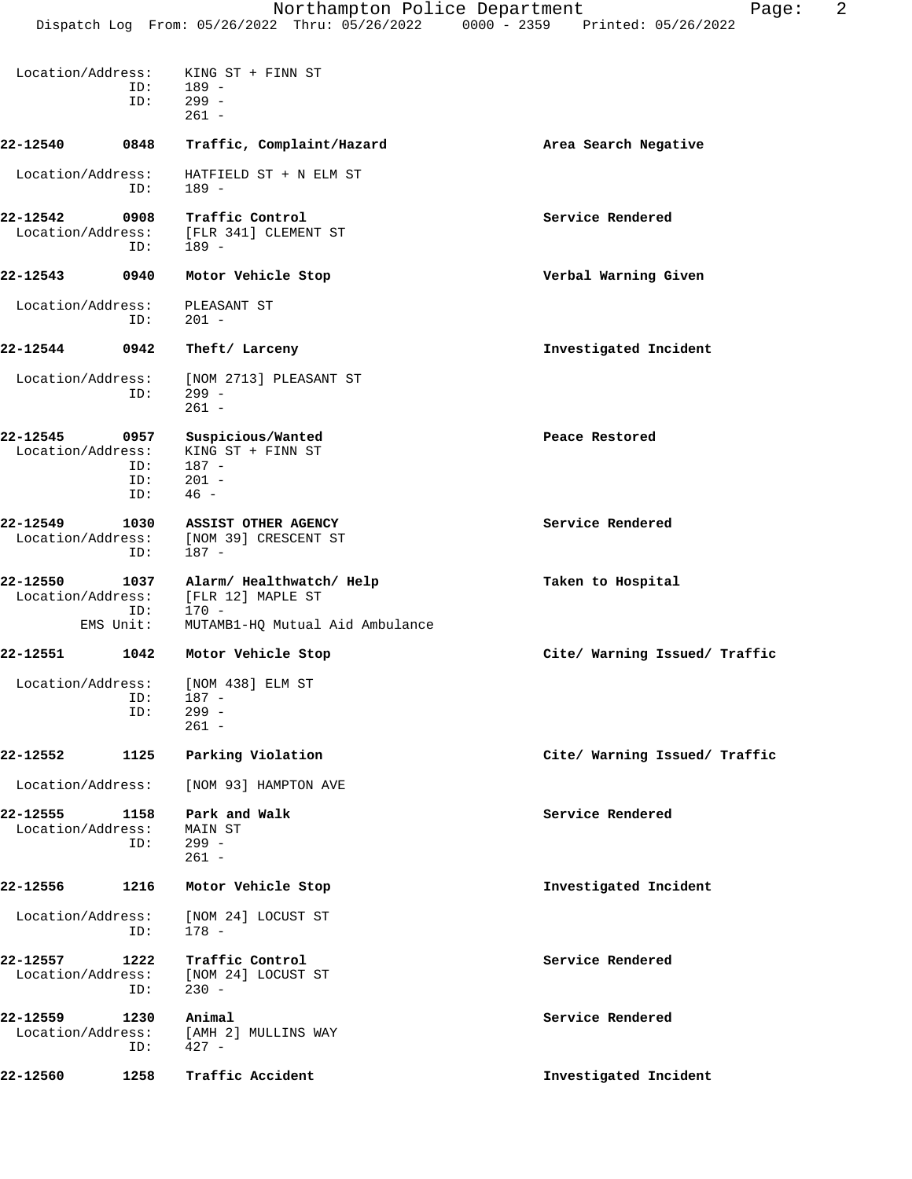| Location/Address:             | ID:<br>ID:                | KING ST + FINN ST<br>189 -<br>299 -<br>$261 -$                       |                               |
|-------------------------------|---------------------------|----------------------------------------------------------------------|-------------------------------|
| 22-12540                      | 0848                      | Traffic, Complaint/Hazard                                            | Area Search Negative          |
| Location/Address:             | ID:                       | HATFIELD ST + N ELM ST<br>$189 -$                                    |                               |
| 22-12542<br>Location/Address: | 0908<br>ID:               | Traffic Control<br>[FLR 341] CLEMENT ST<br>$189 -$                   | Service Rendered              |
| 22-12543                      | 0940                      | Motor Vehicle Stop                                                   | Verbal Warning Given          |
| Location/Address:             | ID:                       | PLEASANT ST<br>$201 -$                                               |                               |
| 22-12544                      | 0942                      | Theft/ Larceny                                                       | Investigated Incident         |
| Location/Address:             | ID:                       | [NOM 2713] PLEASANT ST<br>$299 -$<br>$261 -$                         |                               |
| 22-12545<br>Location/Address: | 0957<br>ID:<br>ID:<br>ID: | Suspicious/Wanted<br>KING ST + FINN ST<br>187 -<br>$201 -$<br>$46 -$ | Peace Restored                |
| 22-12549<br>Location/Address: | 1030<br>ID:               | ASSIST OTHER AGENCY<br>[NOM 39] CRESCENT ST<br>187 -                 | Service Rendered              |
| 22-12550<br>Location/Address: | 1037<br>ID:               | Alarm/ Healthwatch/ Help<br>[FLR 12] MAPLE ST<br>170 -               | Taken to Hospital             |
|                               | EMS Unit:                 | MUTAMB1-HQ Mutual Aid Ambulance                                      |                               |
| 22-12551                      | 1042                      | Motor Vehicle Stop                                                   | Cite/ Warning Issued/ Traffic |
| Location/Address:             | ID:<br>ID:                | [NOM 438] ELM ST<br>187 -<br>$299 -$<br>261 -                        |                               |
| 22-12552                      | 1125                      | Parking Violation                                                    | Cite/ Warning Issued/ Traffic |
| Location/Address:             |                           | [NOM 93] HAMPTON AVE                                                 |                               |
| 22-12555<br>Location/Address: | 1158<br>ID:               | Park and Walk<br>MAIN ST<br>299 -<br>$261 -$                         | Service Rendered              |
| 22-12556                      | 1216                      | Motor Vehicle Stop                                                   | Investigated Incident         |
| Location/Address:             | ID:                       | [NOM 24] LOCUST ST<br>$178 -$                                        |                               |
| 22-12557<br>Location/Address: | 1222<br>ID:               | Traffic Control<br>[NOM 24] LOCUST ST<br>$230 -$                     | Service Rendered              |
| 22-12559<br>Location/Address: | 1230<br>ID:               | Animal<br>[AMH 2] MULLINS WAY<br>$427 -$                             | Service Rendered              |
| $\sim$ $\sim$ $\sim$ $\sim$   | 1000                      |                                                                      |                               |